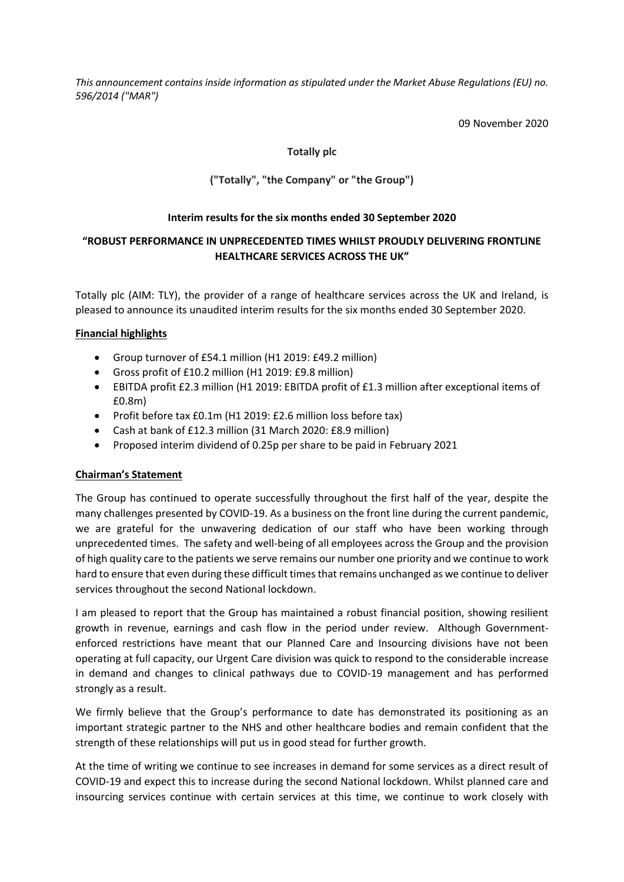*This announcement contains inside information as stipulated under the Market Abuse Regulations (EU) no. 596/2014 ("MAR")*

09 November 2020

# **Totally plc**

# **("Totally", "the Company" or "the Group")**

### **Interim results for the six months ended 30 September 2020**

# **"ROBUST PERFORMANCE IN UNPRECEDENTED TIMES WHILST PROUDLY DELIVERING FRONTLINE HEALTHCARE SERVICES ACROSS THE UK"**

Totally plc (AIM: TLY), the provider of a range of healthcare services across the UK and Ireland, is pleased to announce its unaudited interim results for the six months ended 30 September 2020.

### **Financial highlights**

- Group turnover of £54.1 million (H1 2019: £49.2 million)
- Gross profit of £10.2 million (H1 2019: £9.8 million)
- EBITDA profit £2.3 million (H1 2019: EBITDA profit of £1.3 million after exceptional items of £0.8m)
- Profit before tax £0.1m (H1 2019: £2.6 million loss before tax)
- Cash at bank of £12.3 million (31 March 2020: £8.9 million)
- Proposed interim dividend of 0.25p per share to be paid in February 2021

### **Chairman's Statement**

The Group has continued to operate successfully throughout the first half of the year, despite the many challenges presented by COVID-19. As a business on the front line during the current pandemic, we are grateful for the unwavering dedication of our staff who have been working through unprecedented times. The safety and well-being of all employees across the Group and the provision of high quality care to the patients we serve remains our number one priority and we continue to work hard to ensure that even during these difficult times that remains unchanged as we continue to deliver services throughout the second National lockdown.

I am pleased to report that the Group has maintained a robust financial position, showing resilient growth in revenue, earnings and cash flow in the period under review. Although Governmentenforced restrictions have meant that our Planned Care and Insourcing divisions have not been operating at full capacity, our Urgent Care division was quick to respond to the considerable increase in demand and changes to clinical pathways due to COVID-19 management and has performed strongly as a result.

We firmly believe that the Group's performance to date has demonstrated its positioning as an important strategic partner to the NHS and other healthcare bodies and remain confident that the strength of these relationships will put us in good stead for further growth.

At the time of writing we continue to see increases in demand for some services as a direct result of COVID-19 and expect this to increase during the second National lockdown. Whilst planned care and insourcing services continue with certain services at this time, we continue to work closely with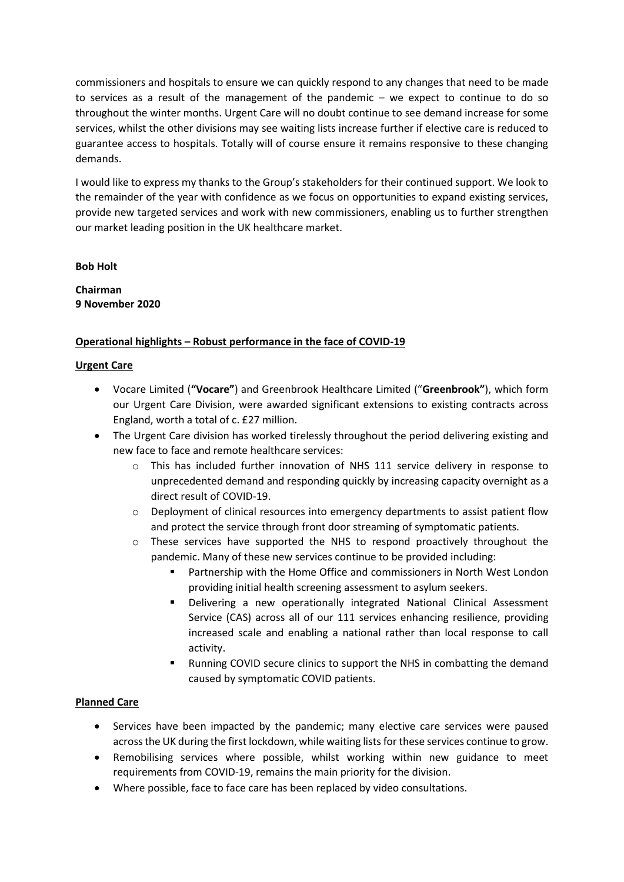commissioners and hospitals to ensure we can quickly respond to any changes that need to be made to services as a result of the management of the pandemic – we expect to continue to do so throughout the winter months. Urgent Care will no doubt continue to see demand increase for some services, whilst the other divisions may see waiting lists increase further if elective care is reduced to guarantee access to hospitals. Totally will of course ensure it remains responsive to these changing demands.

I would like to express my thanks to the Group's stakeholders for their continued support. We look to the remainder of the year with confidence as we focus on opportunities to expand existing services, provide new targeted services and work with new commissioners, enabling us to further strengthen our market leading position in the UK healthcare market.

### **Bob Holt**

**Chairman 9 November 2020**

### **Operational highlights – Robust performance in the face of COVID-19**

### **Urgent Care**

- Vocare Limited (**"Vocare"**) and Greenbrook Healthcare Limited ("**Greenbrook"**), which form our Urgent Care Division, were awarded significant extensions to existing contracts across England, worth a total of c. £27 million.
- The Urgent Care division has worked tirelessly throughout the period delivering existing and new face to face and remote healthcare services:
	- o This has included further innovation of NHS 111 service delivery in response to unprecedented demand and responding quickly by increasing capacity overnight as a direct result of COVID-19.
	- $\circ$  Deployment of clinical resources into emergency departments to assist patient flow and protect the service through front door streaming of symptomatic patients.
	- o These services have supported the NHS to respond proactively throughout the pandemic. Many of these new services continue to be provided including:
		- Partnership with the Home Office and commissioners in North West London providing initial health screening assessment to asylum seekers.
		- Delivering a new operationally integrated National Clinical Assessment Service (CAS) across all of our 111 services enhancing resilience, providing increased scale and enabling a national rather than local response to call activity.
		- Running COVID secure clinics to support the NHS in combatting the demand caused by symptomatic COVID patients.

### **Planned Care**

- Services have been impacted by the pandemic; many elective care services were paused across the UK during the first lockdown, while waiting lists for these services continue to grow.
- Remobilising services where possible, whilst working within new guidance to meet requirements from COVID-19, remains the main priority for the division.
- Where possible, face to face care has been replaced by video consultations.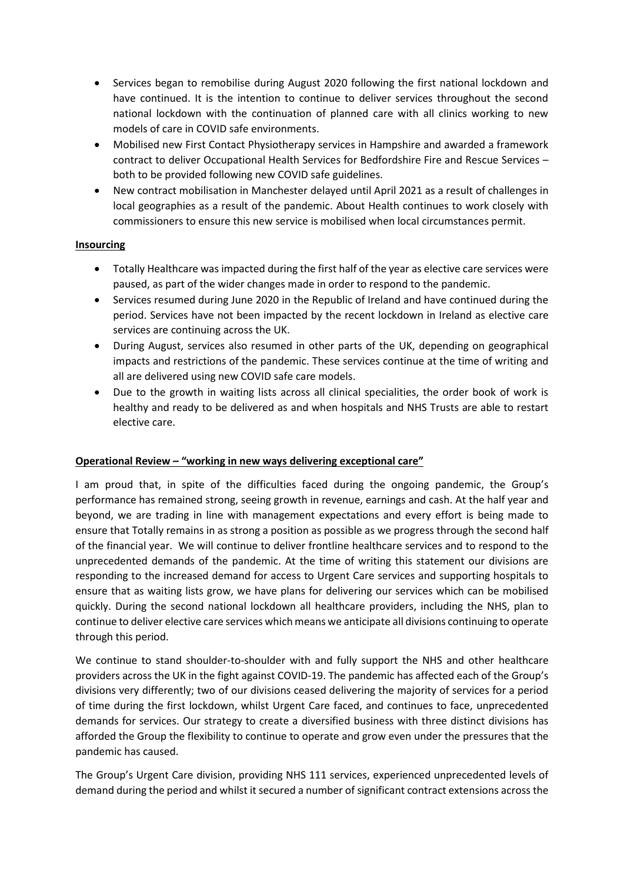- Services began to remobilise during August 2020 following the first national lockdown and have continued. It is the intention to continue to deliver services throughout the second national lockdown with the continuation of planned care with all clinics working to new models of care in COVID safe environments.
- Mobilised new First Contact Physiotherapy services in Hampshire and awarded a framework contract to deliver Occupational Health Services for Bedfordshire Fire and Rescue Services – both to be provided following new COVID safe guidelines.
- New contract mobilisation in Manchester delayed until April 2021 as a result of challenges in local geographies as a result of the pandemic. About Health continues to work closely with commissioners to ensure this new service is mobilised when local circumstances permit.

### **Insourcing**

- Totally Healthcare was impacted during the first half of the year as elective care services were paused, as part of the wider changes made in order to respond to the pandemic.
- Services resumed during June 2020 in the Republic of Ireland and have continued during the period. Services have not been impacted by the recent lockdown in Ireland as elective care services are continuing across the UK.
- During August, services also resumed in other parts of the UK, depending on geographical impacts and restrictions of the pandemic. These services continue at the time of writing and all are delivered using new COVID safe care models.
- Due to the growth in waiting lists across all clinical specialities, the order book of work is healthy and ready to be delivered as and when hospitals and NHS Trusts are able to restart elective care.

# **Operational Review – "working in new ways delivering exceptional care"**

I am proud that, in spite of the difficulties faced during the ongoing pandemic, the Group's performance has remained strong, seeing growth in revenue, earnings and cash. At the half year and beyond, we are trading in line with management expectations and every effort is being made to ensure that Totally remains in as strong a position as possible as we progress through the second half of the financial year. We will continue to deliver frontline healthcare services and to respond to the unprecedented demands of the pandemic. At the time of writing this statement our divisions are responding to the increased demand for access to Urgent Care services and supporting hospitals to ensure that as waiting lists grow, we have plans for delivering our services which can be mobilised quickly. During the second national lockdown all healthcare providers, including the NHS, plan to continue to deliver elective care services which means we anticipate all divisions continuing to operate through this period.

We continue to stand shoulder-to-shoulder with and fully support the NHS and other healthcare providers across the UK in the fight against COVID-19. The pandemic has affected each of the Group's divisions very differently; two of our divisions ceased delivering the majority of services for a period of time during the first lockdown, whilst Urgent Care faced, and continues to face, unprecedented demands for services. Our strategy to create a diversified business with three distinct divisions has afforded the Group the flexibility to continue to operate and grow even under the pressures that the pandemic has caused.

The Group's Urgent Care division, providing NHS 111 services, experienced unprecedented levels of demand during the period and whilst it secured a number of significant contract extensions across the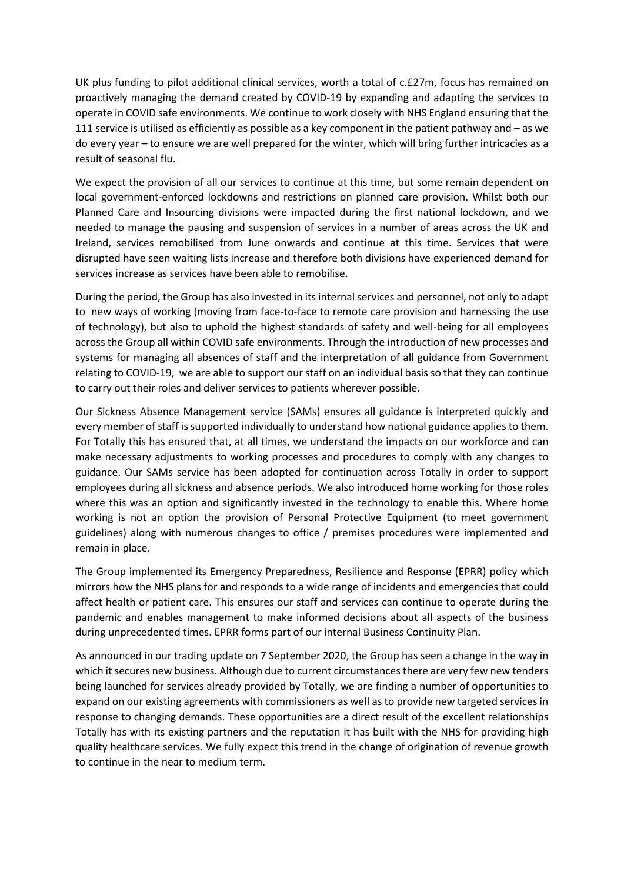UK plus funding to pilot additional clinical services, worth a total of c.£27m, focus has remained on proactively managing the demand created by COVID-19 by expanding and adapting the services to operate in COVID safe environments. We continue to work closely with NHS England ensuring that the 111 service is utilised as efficiently as possible as a key component in the patient pathway and – as we do every year – to ensure we are well prepared for the winter, which will bring further intricacies as a result of seasonal flu.

We expect the provision of all our services to continue at this time, but some remain dependent on local government-enforced lockdowns and restrictions on planned care provision. Whilst both our Planned Care and Insourcing divisions were impacted during the first national lockdown, and we needed to manage the pausing and suspension of services in a number of areas across the UK and Ireland, services remobilised from June onwards and continue at this time. Services that were disrupted have seen waiting lists increase and therefore both divisions have experienced demand for services increase as services have been able to remobilise.

During the period, the Group has also invested in its internal services and personnel, not only to adapt to new ways of working (moving from face-to-face to remote care provision and harnessing the use of technology), but also to uphold the highest standards of safety and well-being for all employees across the Group all within COVID safe environments. Through the introduction of new processes and systems for managing all absences of staff and the interpretation of all guidance from Government relating to COVID-19, we are able to support our staff on an individual basisso that they can continue to carry out their roles and deliver services to patients wherever possible.

Our Sickness Absence Management service (SAMs) ensures all guidance is interpreted quickly and every member of staff is supported individually to understand how national guidance applies to them. For Totally this has ensured that, at all times, we understand the impacts on our workforce and can make necessary adjustments to working processes and procedures to comply with any changes to guidance. Our SAMs service has been adopted for continuation across Totally in order to support employees during all sickness and absence periods. We also introduced home working for those roles where this was an option and significantly invested in the technology to enable this. Where home working is not an option the provision of Personal Protective Equipment (to meet government guidelines) along with numerous changes to office / premises procedures were implemented and remain in place.

The Group implemented its Emergency Preparedness, Resilience and Response (EPRR) policy which mirrors how the NHS plans for and responds to a wide range of incidents and emergencies that could affect health or patient care. This ensures our staff and services can continue to operate during the pandemic and enables management to make informed decisions about all aspects of the business during unprecedented times. EPRR forms part of our internal Business Continuity Plan.

As announced in our trading update on 7 September 2020, the Group has seen a change in the way in which it secures new business. Although due to current circumstances there are very few new tenders being launched for services already provided by Totally, we are finding a number of opportunities to expand on our existing agreements with commissioners as well as to provide new targeted services in response to changing demands. These opportunities are a direct result of the excellent relationships Totally has with its existing partners and the reputation it has built with the NHS for providing high quality healthcare services. We fully expect this trend in the change of origination of revenue growth to continue in the near to medium term.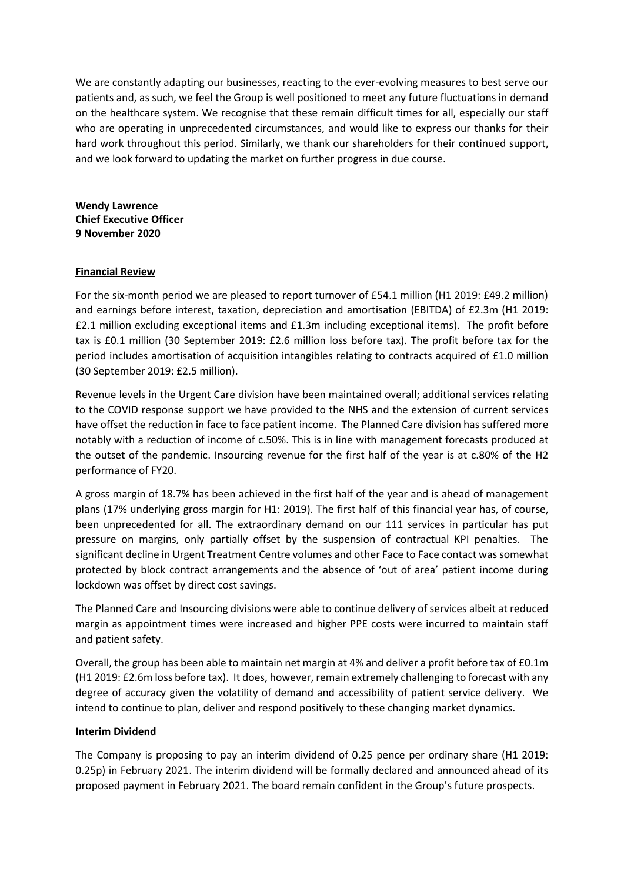We are constantly adapting our businesses, reacting to the ever-evolving measures to best serve our patients and, as such, we feel the Group is well positioned to meet any future fluctuations in demand on the healthcare system. We recognise that these remain difficult times for all, especially our staff who are operating in unprecedented circumstances, and would like to express our thanks for their hard work throughout this period. Similarly, we thank our shareholders for their continued support, and we look forward to updating the market on further progress in due course.

**Wendy Lawrence Chief Executive Officer 9 November 2020**

### **Financial Review**

For the six-month period we are pleased to report turnover of £54.1 million (H1 2019: £49.2 million) and earnings before interest, taxation, depreciation and amortisation (EBITDA) of £2.3m (H1 2019: £2.1 million excluding exceptional items and £1.3m including exceptional items). The profit before tax is £0.1 million (30 September 2019: £2.6 million loss before tax). The profit before tax for the period includes amortisation of acquisition intangibles relating to contracts acquired of £1.0 million (30 September 2019: £2.5 million).

Revenue levels in the Urgent Care division have been maintained overall; additional services relating to the COVID response support we have provided to the NHS and the extension of current services have offset the reduction in face to face patient income. The Planned Care division has suffered more notably with a reduction of income of c.50%. This is in line with management forecasts produced at the outset of the pandemic. Insourcing revenue for the first half of the year is at c.80% of the H2 performance of FY20.

A gross margin of 18.7% has been achieved in the first half of the year and is ahead of management plans (17% underlying gross margin for H1: 2019). The first half of this financial year has, of course, been unprecedented for all. The extraordinary demand on our 111 services in particular has put pressure on margins, only partially offset by the suspension of contractual KPI penalties. The significant decline in Urgent Treatment Centre volumes and other Face to Face contact was somewhat protected by block contract arrangements and the absence of 'out of area' patient income during lockdown was offset by direct cost savings.

The Planned Care and Insourcing divisions were able to continue delivery of services albeit at reduced margin as appointment times were increased and higher PPE costs were incurred to maintain staff and patient safety.

Overall, the group has been able to maintain net margin at 4% and deliver a profit before tax of £0.1m (H1 2019: £2.6m loss before tax). It does, however, remain extremely challenging to forecast with any degree of accuracy given the volatility of demand and accessibility of patient service delivery. We intend to continue to plan, deliver and respond positively to these changing market dynamics.

### **Interim Dividend**

The Company is proposing to pay an interim dividend of 0.25 pence per ordinary share (H1 2019: 0.25p) in February 2021. The interim dividend will be formally declared and announced ahead of its proposed payment in February 2021. The board remain confident in the Group's future prospects.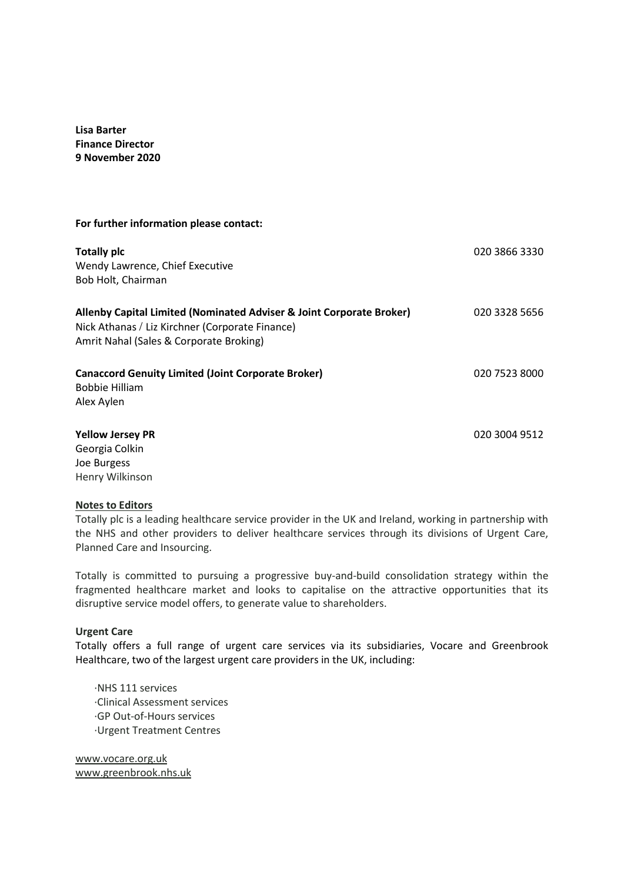**Lisa Barter Finance Director 9 November 2020**

#### **For further information please contact:**

| <b>Totally plc</b><br>Wendy Lawrence, Chief Executive<br>Bob Holt, Chairman                                                                                        | 020 3866 3330 |
|--------------------------------------------------------------------------------------------------------------------------------------------------------------------|---------------|
| Allenby Capital Limited (Nominated Adviser & Joint Corporate Broker)<br>Nick Athanas / Liz Kirchner (Corporate Finance)<br>Amrit Nahal (Sales & Corporate Broking) | 020 3328 5656 |
| <b>Canaccord Genuity Limited (Joint Corporate Broker)</b><br><b>Bobbie Hilliam</b><br>Alex Aylen                                                                   | 020 7523 8000 |
| <b>Yellow Jersey PR</b><br>Georgia Colkin                                                                                                                          | 020 3004 9512 |

Georgia Colkin Joe Burgess Henry Wilkinson

#### **Notes to Editors**

Totally plc is a leading healthcare service provider in the UK and Ireland, working in partnership with the NHS and other providers to deliver healthcare services through its divisions of Urgent Care, Planned Care and Insourcing.

Totally is committed to pursuing a progressive buy-and-build consolidation strategy within the fragmented healthcare market and looks to capitalise on the attractive opportunities that its disruptive service model offers, to generate value to shareholders.

#### **Urgent Care**

Totally offers a full range of urgent care services via its subsidiaries, Vocare and Greenbrook Healthcare, two of the largest urgent care providers in the UK, including:

·NHS 111 services ·Clinical Assessment services ·GP Out-of-Hours services ·Urgent Treatment Centres

[www.vocare.org.uk](http://www.vocare.org.uk/)  [www.greenbrook.nhs.uk](http://www.greenbrook.nhs.uk/)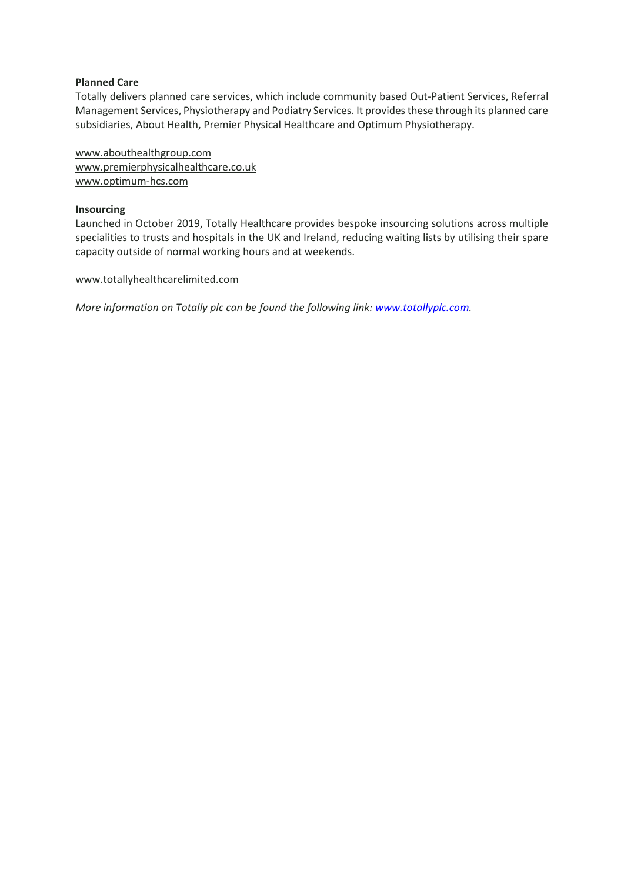### **Planned Care**

Totally delivers planned care services, which include community based Out-Patient Services, Referral Management Services, Physiotherapy and Podiatry Services. It provides these through its planned care subsidiaries, About Health, Premier Physical Healthcare and Optimum Physiotherapy.

[www.abouthealthgroup.com](http://www.abouthealthgroup.com/)  [www.premierphysicalhealthcare.co.uk](http://www.premierphysicalhealthcare.co.uk/)  [www.optimum-hcs.com](http://www.optimum-hcs.com/) 

### **Insourcing**

Launched in October 2019, Totally Healthcare provides bespoke insourcing solutions across multiple specialities to trusts and hospitals in the UK and Ireland, reducing waiting lists by utilising their spare capacity outside of normal working hours and at weekends.

### [www.totallyhealthcarelimited.com](http://www.totallyhealthcarelimited.com/)

*More information on Totally plc can be found the following link: [www.totallyplc.com.](http://www.totallyplc.com/)*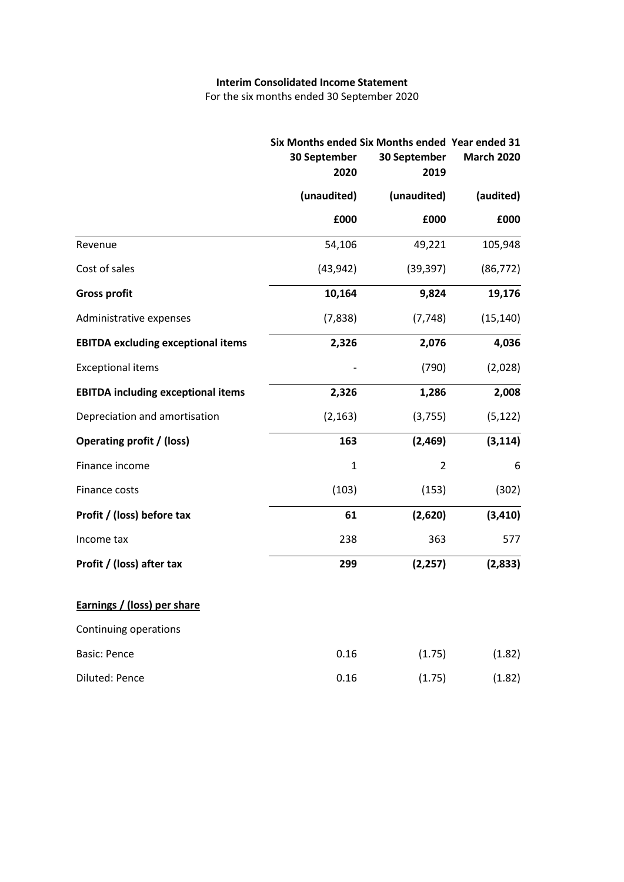### **Interim Consolidated Income Statement**

For the six months ended 30 September 2020

|                                           | Six Months ended Six Months ended Year ended 31<br>30 September<br>2020 | 30 September<br>2019 | <b>March 2020</b> |
|-------------------------------------------|-------------------------------------------------------------------------|----------------------|-------------------|
|                                           | (unaudited)                                                             | (unaudited)          | (audited)         |
|                                           | £000                                                                    | £000                 | £000              |
| Revenue                                   | 54,106                                                                  | 49,221               | 105,948           |
| Cost of sales                             | (43, 942)                                                               | (39, 397)            | (86, 772)         |
| <b>Gross profit</b>                       | 10,164                                                                  | 9,824                | 19,176            |
| Administrative expenses                   | (7,838)                                                                 | (7, 748)             | (15, 140)         |
| <b>EBITDA excluding exceptional items</b> | 2,326                                                                   | 2,076                | 4,036             |
| <b>Exceptional items</b>                  |                                                                         | (790)                | (2,028)           |
| <b>EBITDA including exceptional items</b> | 2,326                                                                   | 1,286                | 2,008             |
| Depreciation and amortisation             | (2, 163)                                                                | (3,755)              | (5, 122)          |
| <b>Operating profit / (loss)</b>          | 163                                                                     | (2,469)              | (3, 114)          |
| Finance income                            | $\mathbf{1}$                                                            | $\overline{2}$       | 6                 |
| Finance costs                             | (103)                                                                   | (153)                | (302)             |
| Profit / (loss) before tax                | 61                                                                      | (2,620)              | (3, 410)          |
| Income tax                                | 238                                                                     | 363                  | 577               |
| Profit / (loss) after tax                 | 299                                                                     | (2, 257)             | (2,833)           |
| Earnings / (loss) per share               |                                                                         |                      |                   |
| Continuing operations                     |                                                                         |                      |                   |
| <b>Basic: Pence</b>                       | 0.16                                                                    | (1.75)               | (1.82)            |
| Diluted: Pence                            | 0.16                                                                    | (1.75)               | (1.82)            |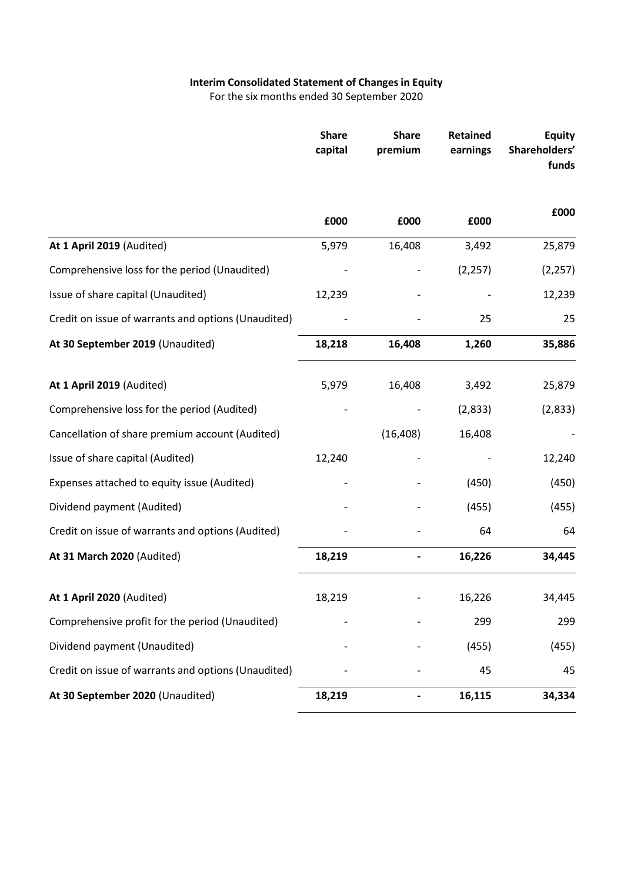# **Interim Consolidated Statement of Changesin Equity**

For the six months ended 30 September 2020

|                                                     | <b>Share</b><br>capital | <b>Share</b><br>premium | <b>Retained</b><br>earnings | <b>Equity</b><br>Shareholders'<br>funds |
|-----------------------------------------------------|-------------------------|-------------------------|-----------------------------|-----------------------------------------|
|                                                     | £000                    | £000                    | £000                        | £000                                    |
| At 1 April 2019 (Audited)                           | 5,979                   | 16,408                  | 3,492                       | 25,879                                  |
| Comprehensive loss for the period (Unaudited)       |                         |                         | (2, 257)                    | (2, 257)                                |
| Issue of share capital (Unaudited)                  | 12,239                  |                         |                             | 12,239                                  |
| Credit on issue of warrants and options (Unaudited) |                         |                         | 25                          | 25                                      |
| At 30 September 2019 (Unaudited)                    | 18,218                  | 16,408                  | 1,260                       | 35,886                                  |
| At 1 April 2019 (Audited)                           | 5,979                   | 16,408                  | 3,492                       | 25,879                                  |
| Comprehensive loss for the period (Audited)         |                         |                         | (2,833)                     | (2,833)                                 |
| Cancellation of share premium account (Audited)     |                         | (16, 408)               | 16,408                      |                                         |
| Issue of share capital (Audited)                    | 12,240                  |                         |                             | 12,240                                  |
| Expenses attached to equity issue (Audited)         |                         |                         | (450)                       | (450)                                   |
| Dividend payment (Audited)                          |                         |                         | (455)                       | (455)                                   |
| Credit on issue of warrants and options (Audited)   |                         |                         | 64                          | 64                                      |
| At 31 March 2020 (Audited)                          | 18,219                  |                         | 16,226                      | 34,445                                  |
| At 1 April 2020 (Audited)                           | 18,219                  |                         | 16,226                      | 34,445                                  |
| Comprehensive profit for the period (Unaudited)     |                         |                         | 299                         | 299                                     |
| Dividend payment (Unaudited)                        |                         |                         | (455)                       | (455)                                   |
| Credit on issue of warrants and options (Unaudited) |                         |                         | 45                          | 45                                      |
| At 30 September 2020 (Unaudited)                    | 18,219                  |                         | 16,115                      | 34,334                                  |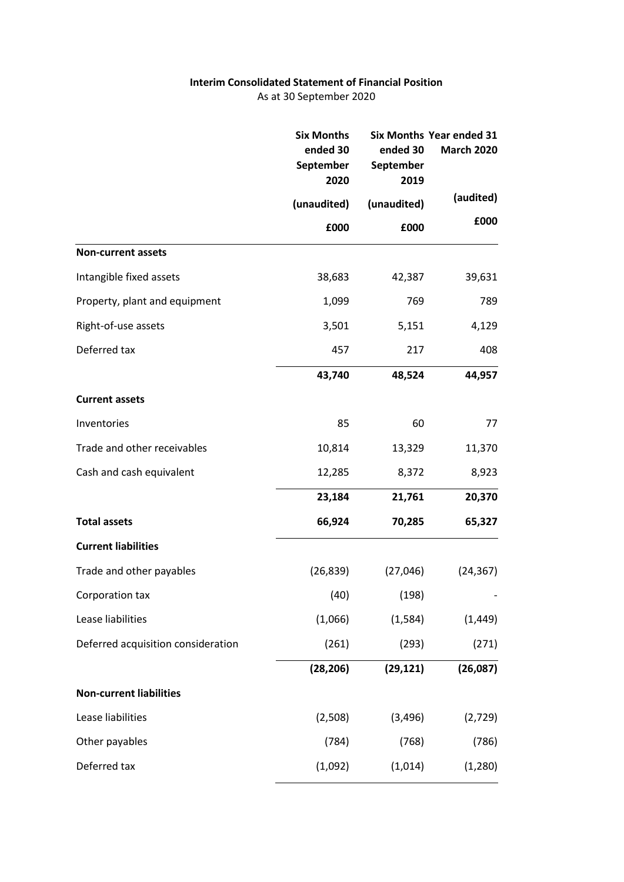# **Interim Consolidated Statement of Financial Position**

As at 30 September 2020

|                                    | <b>Six Months</b><br>ended 30<br>September<br>2020 | Six Months Year ended 31<br>ended 30<br><b>March 2020</b><br>September<br>2019 |           |
|------------------------------------|----------------------------------------------------|--------------------------------------------------------------------------------|-----------|
|                                    | (unaudited)                                        | (unaudited)                                                                    | (audited) |
|                                    | £000                                               | £000                                                                           | £000      |
| <b>Non-current assets</b>          |                                                    |                                                                                |           |
| Intangible fixed assets            | 38,683                                             | 42,387                                                                         | 39,631    |
| Property, plant and equipment      | 1,099                                              | 769                                                                            | 789       |
| Right-of-use assets                | 3,501                                              | 5,151                                                                          | 4,129     |
| Deferred tax                       | 457                                                | 217                                                                            | 408       |
|                                    | 43,740                                             | 48,524                                                                         | 44,957    |
| <b>Current assets</b>              |                                                    |                                                                                |           |
| Inventories                        | 85                                                 | 60                                                                             | 77        |
| Trade and other receivables        | 10,814                                             | 13,329                                                                         | 11,370    |
| Cash and cash equivalent           | 12,285                                             | 8,372                                                                          | 8,923     |
|                                    | 23,184                                             | 21,761                                                                         | 20,370    |
| <b>Total assets</b>                | 66,924                                             | 70,285                                                                         | 65,327    |
| <b>Current liabilities</b>         |                                                    |                                                                                |           |
| Trade and other payables           | (26, 839)                                          | (27,046)                                                                       | (24, 367) |
| Corporation tax                    | (40)                                               | (198)                                                                          |           |
| Lease liabilities                  | (1,066)                                            | (1,584)                                                                        | (1, 449)  |
| Deferred acquisition consideration | (261)                                              | (293)                                                                          | (271)     |
|                                    | (28, 206)                                          | (29, 121)                                                                      | (26,087)  |
| <b>Non-current liabilities</b>     |                                                    |                                                                                |           |
| Lease liabilities                  | (2,508)                                            | (3, 496)                                                                       | (2,729)   |
| Other payables                     | (784)                                              | (768)                                                                          | (786)     |
| Deferred tax                       | (1,092)                                            | (1,014)                                                                        | (1,280)   |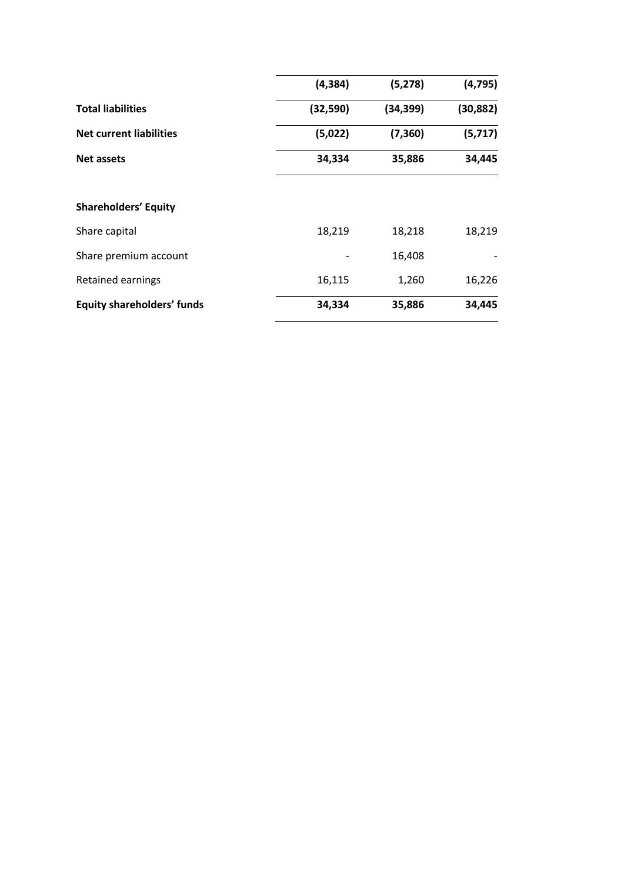|                                   | (4, 384)  | (5, 278)  | (4, 795)  |
|-----------------------------------|-----------|-----------|-----------|
| <b>Total liabilities</b>          | (32, 590) | (34, 399) | (30, 882) |
| <b>Net current liabilities</b>    | (5,022)   | (7, 360)  | (5,717)   |
| <b>Net assets</b>                 | 34,334    | 35,886    | 34,445    |
| <b>Shareholders' Equity</b>       |           |           |           |
| Share capital                     | 18,219    | 18,218    | 18,219    |
| Share premium account             |           | 16,408    |           |
| Retained earnings                 | 16,115    | 1,260     | 16,226    |
| <b>Equity shareholders' funds</b> | 34,334    | 35,886    | 34,445    |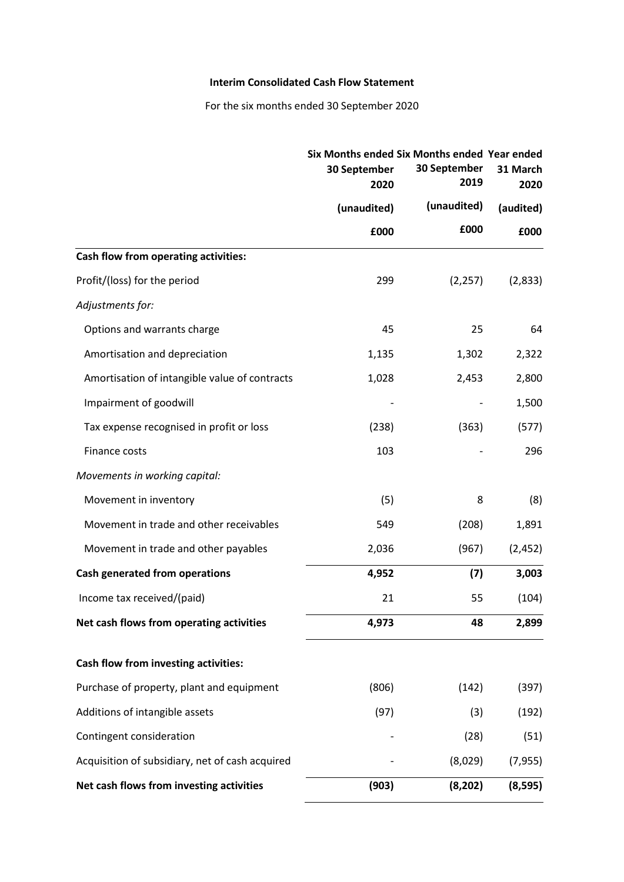### **Interim Consolidated Cash Flow Statement**

For the six months ended 30 September 2020

|                                                 | Six Months ended Six Months ended Year ended<br>30 September<br>2020 | 30 September<br>31 March<br>2019<br>2020 |           |
|-------------------------------------------------|----------------------------------------------------------------------|------------------------------------------|-----------|
|                                                 | (unaudited)                                                          | (unaudited)                              | (audited) |
|                                                 | £000                                                                 | £000                                     | £000      |
| Cash flow from operating activities:            |                                                                      |                                          |           |
| Profit/(loss) for the period                    | 299                                                                  | (2, 257)                                 | (2,833)   |
| Adjustments for:                                |                                                                      |                                          |           |
| Options and warrants charge                     | 45                                                                   | 25                                       | 64        |
| Amortisation and depreciation                   | 1,135                                                                | 1,302                                    | 2,322     |
| Amortisation of intangible value of contracts   | 1,028                                                                | 2,453                                    | 2,800     |
| Impairment of goodwill                          |                                                                      |                                          | 1,500     |
| Tax expense recognised in profit or loss        | (238)                                                                | (363)                                    | (577)     |
| Finance costs                                   | 103                                                                  |                                          | 296       |
| Movements in working capital:                   |                                                                      |                                          |           |
| Movement in inventory                           | (5)                                                                  | 8                                        | (8)       |
| Movement in trade and other receivables         | 549                                                                  | (208)                                    | 1,891     |
| Movement in trade and other payables            | 2,036                                                                | (967)                                    | (2, 452)  |
| <b>Cash generated from operations</b>           | 4,952                                                                | (7)                                      | 3,003     |
| Income tax received/(paid)                      | 21                                                                   | 55                                       | (104)     |
| Net cash flows from operating activities        | 4,973                                                                | 48                                       | 2,899     |
| Cash flow from investing activities:            |                                                                      |                                          |           |
| Purchase of property, plant and equipment       | (806)                                                                | (142)                                    | (397)     |
| Additions of intangible assets                  | (97)                                                                 | (3)                                      | (192)     |
| Contingent consideration                        |                                                                      | (28)                                     | (51)      |
| Acquisition of subsidiary, net of cash acquired |                                                                      | (8,029)                                  | (7, 955)  |
| Net cash flows from investing activities        | (903)                                                                | (8, 202)                                 | (8, 595)  |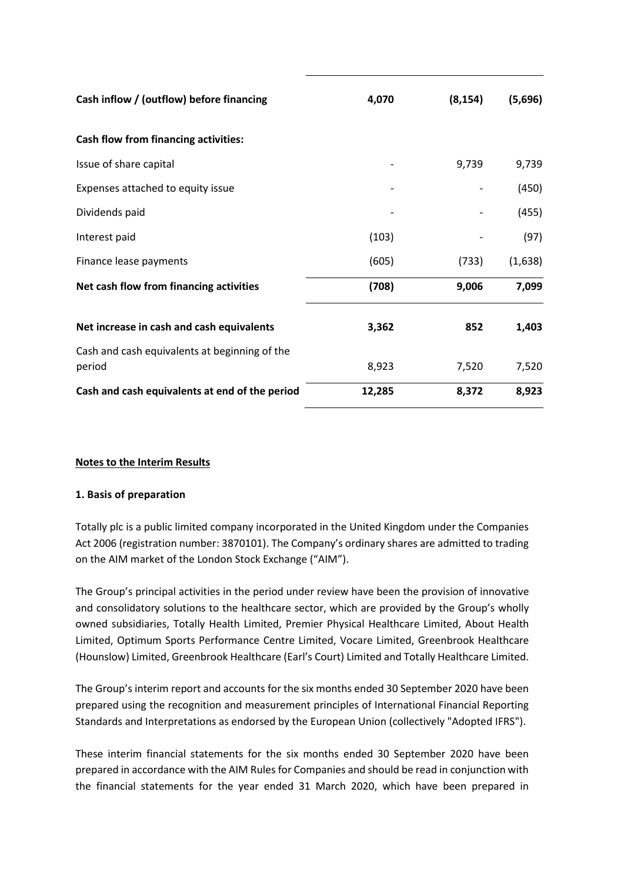| Cash inflow / (outflow) before financing                | 4,070  | (8, 154) | (5,696) |
|---------------------------------------------------------|--------|----------|---------|
| Cash flow from financing activities:                    |        |          |         |
| Issue of share capital                                  |        | 9,739    | 9,739   |
| Expenses attached to equity issue                       |        |          | (450)   |
| Dividends paid                                          |        |          | (455)   |
| Interest paid                                           | (103)  |          | (97)    |
| Finance lease payments                                  | (605)  | (733)    | (1,638) |
| Net cash flow from financing activities                 | (708)  | 9,006    | 7,099   |
| Net increase in cash and cash equivalents               | 3,362  | 852      | 1,403   |
| Cash and cash equivalents at beginning of the<br>period | 8,923  | 7,520    | 7,520   |
| Cash and cash equivalents at end of the period          | 12,285 | 8,372    | 8,923   |

# **Notes to the Interim Results**

# **1. Basis of preparation**

Totally plc is a public limited company incorporated in the United Kingdom under the Companies Act 2006 (registration number: 3870101). The Company's ordinary shares are admitted to trading on the AIM market of the London Stock Exchange ("AIM").

The Group's principal activities in the period under review have been the provision of innovative and consolidatory solutions to the healthcare sector, which are provided by the Group's wholly owned subsidiaries, Totally Health Limited, Premier Physical Healthcare Limited, About Health Limited, Optimum Sports Performance Centre Limited, Vocare Limited, Greenbrook Healthcare (Hounslow) Limited, Greenbrook Healthcare (Earl's Court) Limited and Totally Healthcare Limited.

The Group's interim report and accounts for the six months ended 30 September 2020 have been prepared using the recognition and measurement principles of International Financial Reporting Standards and Interpretations as endorsed by the European Union (collectively "Adopted IFRS").

These interim financial statements for the six months ended 30 September 2020 have been prepared in accordance with the AIM Rules for Companies and should be read in conjunction with the financial statements for the year ended 31 March 2020, which have been prepared in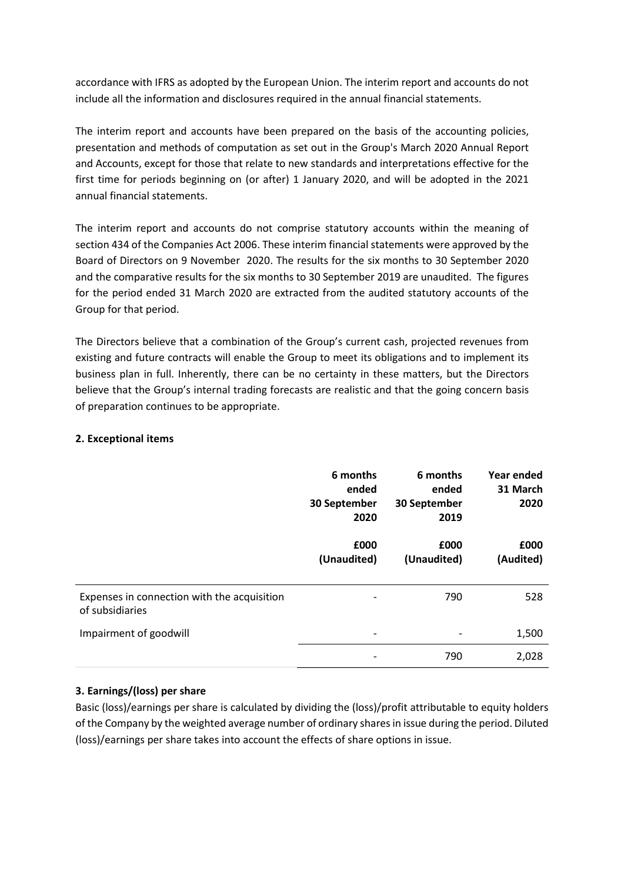accordance with IFRS as adopted by the European Union. The interim report and accounts do not include all the information and disclosures required in the annual financial statements.

The interim report and accounts have been prepared on the basis of the accounting policies, presentation and methods of computation as set out in the Group's March 2020 Annual Report and Accounts, except for those that relate to new standards and interpretations effective for the first time for periods beginning on (or after) 1 January 2020, and will be adopted in the 2021 annual financial statements.

The interim report and accounts do not comprise statutory accounts within the meaning of section 434 of the Companies Act 2006. These interim financial statements were approved by the Board of Directors on 9 November 2020. The results for the six months to 30 September 2020 and the comparative results for the six months to 30 September 2019 are unaudited. The figures for the period ended 31 March 2020 are extracted from the audited statutory accounts of the Group for that period.

The Directors believe that a combination of the Group's current cash, projected revenues from existing and future contracts will enable the Group to meet its obligations and to implement its business plan in full. Inherently, there can be no certainty in these matters, but the Directors believe that the Group's internal trading forecasts are realistic and that the going concern basis of preparation continues to be appropriate.

## **2. Exceptional items**

|                                                                | 6 months<br>ended<br>30 September<br>2020 | 6 months<br>ended<br>30 September<br>2019 | Year ended<br>31 March<br>2020 |
|----------------------------------------------------------------|-------------------------------------------|-------------------------------------------|--------------------------------|
|                                                                | £000<br>(Unaudited)                       | £000<br>(Unaudited)                       | £000<br>(Audited)              |
| Expenses in connection with the acquisition<br>of subsidiaries | $\overline{\phantom{a}}$                  | 790                                       | 528                            |
| Impairment of goodwill                                         | $\overline{\phantom{a}}$                  |                                           | 1,500                          |
|                                                                |                                           | 790                                       | 2,028                          |

# **3. Earnings/(loss) per share**

Basic (loss)/earnings per share is calculated by dividing the (loss)/profit attributable to equity holders of the Company by the weighted average number of ordinary sharesin issue during the period. Diluted (loss)/earnings per share takes into account the effects of share options in issue.